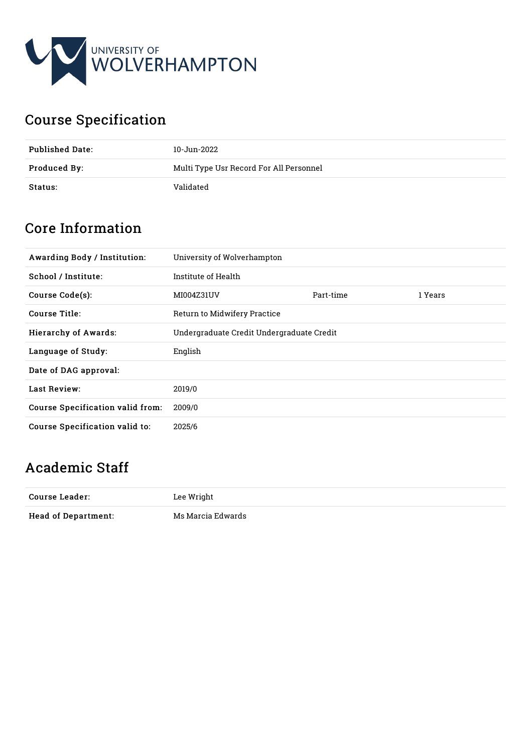

# Course Specification

| <b>Published Date:</b> | 10-Jun-2022                             |
|------------------------|-----------------------------------------|
| Produced By:           | Multi Type Usr Record For All Personnel |
| Status:                | Validated                               |

# Core Information

| <b>Awarding Body / Institution:</b> | University of Wolverhampton               |           |         |
|-------------------------------------|-------------------------------------------|-----------|---------|
| School / Institute:                 | Institute of Health                       |           |         |
| Course Code(s):                     | MI004Z31UV                                | Part-time | 1 Years |
| Course Title:                       | Return to Midwifery Practice              |           |         |
| <b>Hierarchy of Awards:</b>         | Undergraduate Credit Undergraduate Credit |           |         |
| Language of Study:                  | English                                   |           |         |
| Date of DAG approval:               |                                           |           |         |
| <b>Last Review:</b>                 | 2019/0                                    |           |         |
| Course Specification valid from:    | 2009/0                                    |           |         |
| Course Specification valid to:      | 2025/6                                    |           |         |

# Academic Staff

| Course Leader:             | Lee Wright        |
|----------------------------|-------------------|
| <b>Head of Department:</b> | Ms Marcia Edwards |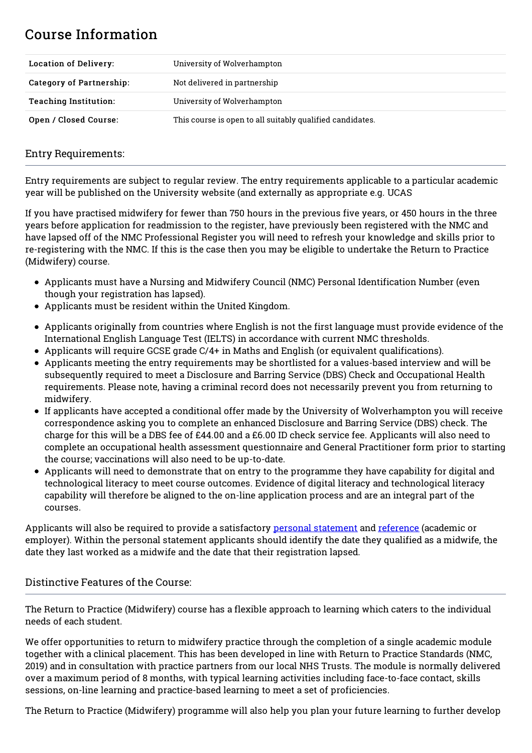## Course Information

| <b>Location of Delivery:</b> | University of Wolverhampton                               |  |
|------------------------------|-----------------------------------------------------------|--|
| Category of Partnership:     | Not delivered in partnership                              |  |
| <b>Teaching Institution:</b> | University of Wolverhampton                               |  |
| Open / Closed Course:        | This course is open to all suitably qualified candidates. |  |

## Entry Requirements:

Entry requirements are subject to regular review. The entry requirements applicable to a particular academic year will be published on the University website (and externally as appropriate e.g. UCAS

If you have practised midwifery for fewer than 750 hours in the previous five years, or 450 hours in the three years before application for readmission to the register, have previously been registered with the NMC and have lapsed off of the NMC Professional Register you will need to refresh your knowledge and skills prior to re-registering with the NMC. If this is the case then you may be eligible to undertake the Return to Practice (Midwifery) course.

- Applicants must have a Nursing and Midwifery Council (NMC) Personal Identification Number (even though your registration has lapsed).
- Applicants must be resident within the United Kingdom.
- Applicants originally from countries where English is not the first language must provide evidence of the International English Language Test (IELTS) in accordance with current NMC thresholds.
- Applicants will require GCSE grade C/4+ in Maths and English (or equivalent qualifications).
- Applicants meeting the entry requirements may be shortlisted for a values-based interview and will be subsequently required to meet a Disclosure and Barring Service (DBS) Check and Occupational Health requirements. Please note, having a criminal record does not necessarily prevent you from returning to midwifery.
- If applicants have accepted a conditional offer made by the University of Wolverhampton you will receive correspondence asking you to complete an enhanced Disclosure and Barring Service (DBS) check. The charge for this will be a DBS fee of £44.00 and a £6.00 ID check service fee. Applicants will also need to complete an occupational health assessment questionnaire and General Practitioner form prior to starting the course; vaccinations will also need to be up-to-date.
- Applicants will need to demonstrate that on entry to the programme they have capability for digital and technological literacy to meet course outcomes. Evidence of digital literacy and technological literacy capability will therefore be aligned to the on-line application process and are an integral part of the courses.

Applicants will also be required to provide a satisfactory personal [statement](http://www.wlv.ac.uk/personalstatement) and [reference](http://www.wlv.ac.uk/references) (academic or employer). Within the personal statement applicants should identify the date they qualified as a midwife, the date they last worked as a midwife and the date that their registration lapsed.

## Distinctive Features of the Course:

The Return to Practice (Midwifery) course has a flexible approach to learning which caters to the individual needs of each student.

We offer opportunities to return to midwifery practice through the completion of a single academic module together with a clinical placement. This has been developed in line with Return to Practice Standards (NMC, 2019) and in consultation with practice partners from our local NHS Trusts. The module is normally delivered over a maximum period of 8 months, with typical learning activities including face-to-face contact, skills sessions, on-line learning and practice-based learning to meet a set of proficiencies.

The Return to Practice (Midwifery) programme will also help you plan your future learning to further develop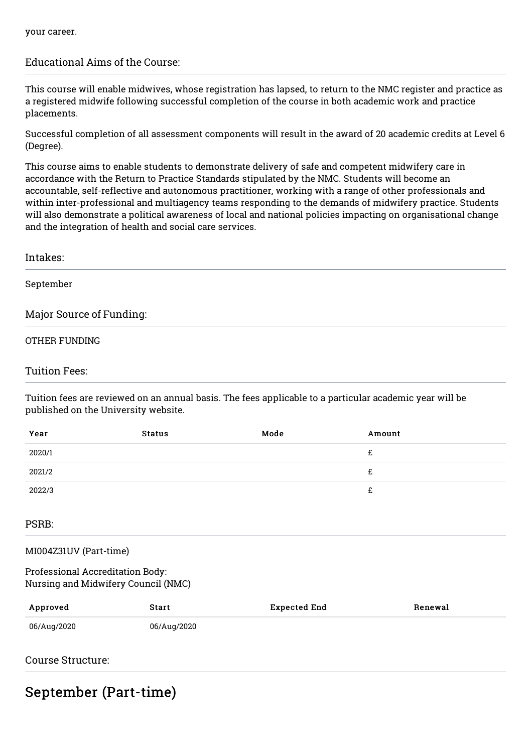## Educational Aims of the Course:

This course will enable midwives, whose registration has lapsed, to return to the NMC register and practice as a registered midwife following successful completion of the course in both academic work and practice placements.

Successful completion of all assessment components will result in the award of 20 academic credits at Level 6 (Degree).

This course aims to enable students to demonstrate delivery of safe and competent midwifery care in accordance with the Return to Practice Standards stipulated by the NMC. Students will become an accountable, self-reflective and autonomous practitioner, working with a range of other professionals and within inter-professional and multiagency teams responding to the demands of midwifery practice. Students will also demonstrate a political awareness of local and national policies impacting on organisational change and the integration of health and social care services.

| Intakes:                                                                                                                                        |
|-------------------------------------------------------------------------------------------------------------------------------------------------|
| September                                                                                                                                       |
| Major Source of Funding:                                                                                                                        |
| OTHER FUNDING                                                                                                                                   |
| <b>Tuition Fees:</b>                                                                                                                            |
| Tuition fees are reviewed on an annual basis. The fees applicable to a particular academic year will be<br>published on the University website. |

| Year   | <b>Status</b> | Mode | Amount |
|--------|---------------|------|--------|
| 2020/1 |               |      | £      |
| 2021/2 |               |      | £      |
| 2022/3 |               |      | £      |
|        |               |      |        |

#### PSRB:

#### MI004Z31UV (Part-time)

#### Professional Accreditation Body: Nursing and Midwifery Council (NMC)

| Approved    | Start       | Expected End | Renewal |
|-------------|-------------|--------------|---------|
| 06/Aug/2020 | 06/Aug/2020 |              |         |

## Course Structure:

## September (Part-time)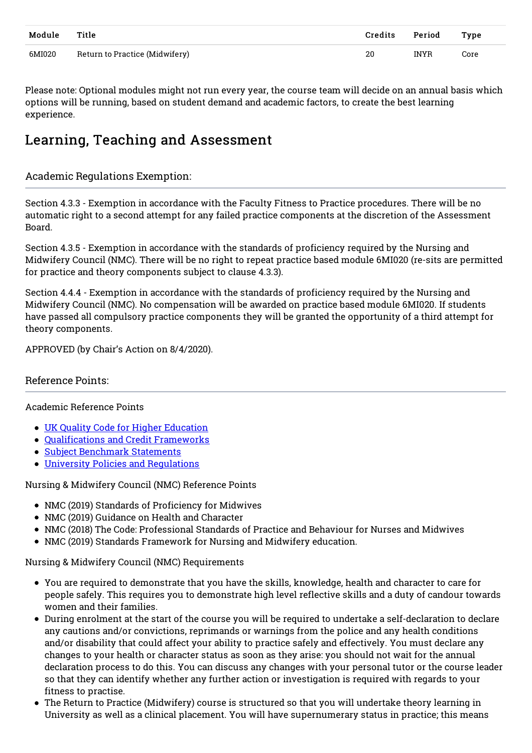| Module | Title                          | Credits | Period      | <b>Type</b> |
|--------|--------------------------------|---------|-------------|-------------|
| 6MI020 | Return to Practice (Midwifery) | 20      | <b>INYR</b> | Core        |

Please note: Optional modules might not run every year, the course team will decide on an annual basis which options will be running, based on student demand and academic factors, to create the best learning experience.

## Learning, Teaching and Assessment

## Academic Regulations Exemption:

Section 4.3.3 - Exemption in accordance with the Faculty Fitness to Practice procedures. There will be no automatic right to a second attempt for any failed practice components at the discretion of the Assessment Board.

Section 4.3.5 - Exemption in accordance with the standards of proficiency required by the Nursing and Midwifery Council (NMC). There will be no right to repeat practice based module 6MI020 (re-sits are permitted for practice and theory components subject to clause 4.3.3).

Section 4.4.4 - Exemption in accordance with the standards of proficiency required by the Nursing and Midwifery Council (NMC). No compensation will be awarded on practice based module 6MI020. If students have passed all compulsory practice components they will be granted the opportunity of a third attempt for theory components.

APPROVED (by Chair's Action on 8/4/2020).

## Reference Points:

#### Academic Reference Points

- UK Quality Code for Higher [Education](https://www.qaa.ac.uk/quality-code)
- [Qualifications](https://www.qaa.ac.uk/en/quality-code/qualifications-and-credit-frameworks) and Credit Frameworks
- Subject [Benchmark](https://www.qaa.ac.uk/en/quality-code/subject-benchmark-statements) Statements
- University Policies and [Regulations](http://www.wlv.ac.uk/about-us/governance/legal-information/policies-and-regulations/academic-regulations/)

Nursing & Midwifery Council (NMC) Reference Points

- NMC (2019) Standards of Proficiency for Midwives
- NMC (2019) Guidance on Health and Character
- NMC (2018) The Code: Professional Standards of Practice and Behaviour for Nurses and Midwives
- NMC (2019) Standards Framework for Nursing and Midwifery education.

#### Nursing & Midwifery Council (NMC) Requirements

- You are required to demonstrate that you have the skills, knowledge, health and character to care for people safely. This requires you to demonstrate high level reflective skills and a duty of candour towards women and their families.
- During enrolment at the start of the course you will be required to undertake a self-declaration to declare any cautions and/or convictions, reprimands or warnings from the police and any health conditions and/or disability that could affect your ability to practice safely and effectively. You must declare any changes to your health or character status as soon as they arise: you should not wait for the annual declaration process to do this. You can discuss any changes with your personal tutor or the course leader so that they can identify whether any further action or investigation is required with regards to your fitness to practise.
- The Return to Practice (Midwifery) course is structured so that you will undertake theory learning in University as well as a clinical placement. You will have supernumerary status in practice; this means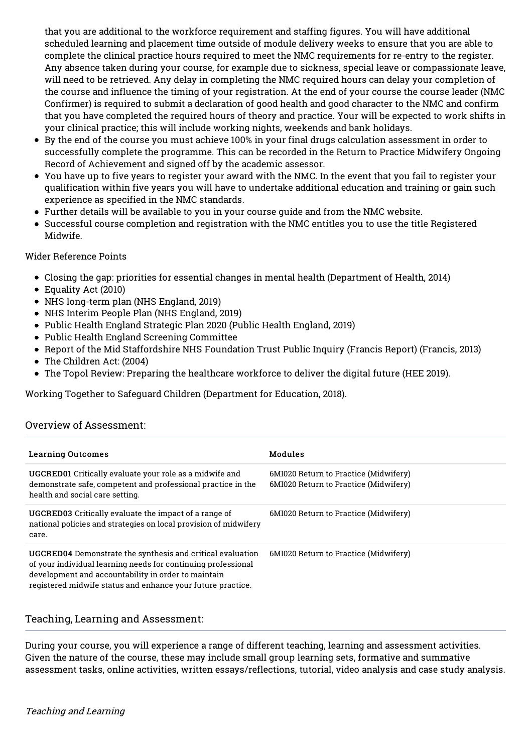that you are additional to the workforce requirement and staffing figures. You will have additional scheduled learning and placement time outside of module delivery weeks to ensure that you are able to complete the clinical practice hours required to meet the NMC requirements for re-entry to the register. Any absence taken during your course, for example due to sickness, special leave or compassionate leave, will need to be retrieved. Any delay in completing the NMC required hours can delay your completion of the course and influence the timing of your registration. At the end of your course the course leader (NMC Confirmer) is required to submit a declaration of good health and good character to the NMC and confirm that you have completed the required hours of theory and practice. Your will be expected to work shifts in your clinical practice; this will include working nights, weekends and bank holidays.

- By the end of the course you must achieve 100% in your final drugs calculation assessment in order to successfully complete the programme. This can be recorded in the Return to Practice Midwifery Ongoing Record of Achievement and signed off by the academic assessor.
- You have up to five years to register your award with the NMC. In the event that you fail to register your qualification within five years you will have to undertake additional education and training or gain such experience as specified in the NMC standards.
- Further details will be available to you in your course guide and from the NMC website.
- Successful course completion and registration with the NMC entitles you to use the title Registered Midwife.

### Wider Reference Points

- Closing the gap: priorities for essential changes in mental health (Department of Health, 2014)
- Equality Act (2010)
- NHS long-term plan (NHS England, 2019)
- NHS Interim People Plan (NHS England, 2019)
- Public Health England Strategic Plan 2020 (Public Health England, 2019)
- Public Health England Screening Committee
- Report of the Mid Staffordshire NHS Foundation Trust Public Inquiry (Francis Report) (Francis, 2013)
- The Children Act: (2004)
- The Topol Review: Preparing the healthcare workforce to deliver the digital future (HEE 2019).

Working Together to Safeguard Children (Department for Education, 2018).

## Overview of Assessment:

| <b>Learning Outcomes</b>                                                                                                                                                                                                                          | Modules                                                                        |
|---------------------------------------------------------------------------------------------------------------------------------------------------------------------------------------------------------------------------------------------------|--------------------------------------------------------------------------------|
| UGCRED01 Critically evaluate your role as a midwife and<br>demonstrate safe, competent and professional practice in the<br>health and social care setting.                                                                                        | 6MI020 Return to Practice (Midwifery)<br>6MI020 Return to Practice (Midwifery) |
| <b>UGCRED03</b> Critically evaluate the impact of a range of<br>national policies and strategies on local provision of midwifery<br>care.                                                                                                         | 6MI020 Return to Practice (Midwifery)                                          |
| UGCRED04 Demonstrate the synthesis and critical evaluation<br>of your individual learning needs for continuing professional<br>development and accountability in order to maintain<br>registered midwife status and enhance your future practice. | 6MI020 Return to Practice (Midwifery)                                          |

#### Teaching, Learning and Assessment:

During your course, you will experience a range of different teaching, learning and assessment activities. Given the nature of the course, these may include small group learning sets, formative and summative assessment tasks, online activities, written essays/reflections, tutorial, video analysis and case study analysis.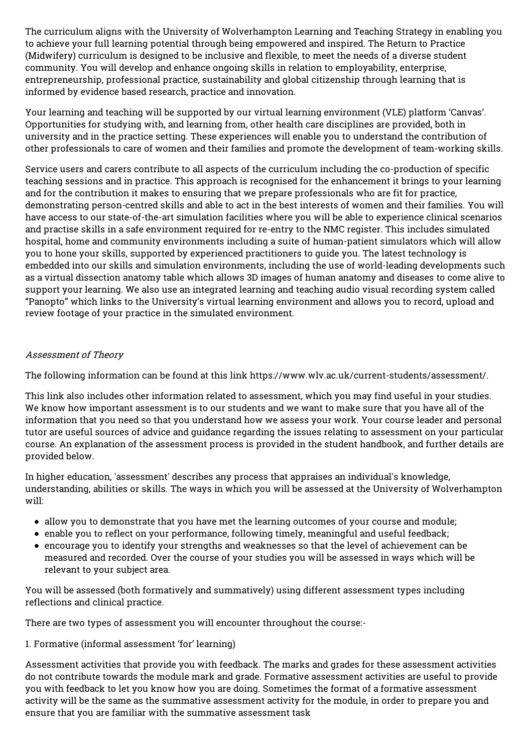The curriculum aligns with the University of Wolverhampton Learning and Teaching Strategy in enabling you to achieve your full learning potential through being empowered and inspired. The Return to Practice (Midwifery) curriculum is designed to be inclusive and flexible, to meet the needs of a diverse student community. You will develop and enhance ongoing skills in relation to employability, enterprise, entrepreneurship, professional practice, sustainability and global citizenship through learning that is informed by evidence based research, practice and innovation.

Your learning and teaching will be supported by our virtual learning environment (VLE) platform 'Canvas'. Opportunities for studying with, and learning from, other health care disciplines are provided, both in university and in the practice setting. These experiences will enable you to understand the contribution of other professionals to care of women and their families and promote the development of team-working skills.

Service users and carers contribute to all aspects of the curriculum including the co-production of specific teaching sessions and in practice. This approach is recognised for the enhancement it brings to your learning and for the contribution it makes to ensuring that we prepare professionals who are fit for practice, demonstrating person-centred skills and able to act in the best interests of women and their families. You will have access to our state-of-the-art simulation facilities where you will be able to experience clinical scenarios and practise skills in a safe environment required for re-entry to the NMC register. This includes simulated hospital, home and community environments including a suite of human-patient simulators which will allow you to hone your skills, supported by experienced practitioners to guide you. The latest technology is embedded into our skills and simulation environments, including the use of world-leading developments such as a virtual dissection anatomy table which allows 3D images of human anatomy and diseases to come alive to support your learning. We also use an integrated learning and teaching audio visual recording system called "Panopto" which links to the University's virtual learning environment and allows you to record, upload and review footage of your practice in the simulated environment.

### Assessment of Theory

The following information can be found at this link https://www.wlv.ac.uk/current-students/assessment/.

This link also includes other information related to assessment, which you may find useful in your studies. We know how important assessment is to our students and we want to make sure that you have all of the information that you need so that you understand how we assess your work. Your course leader and personal tutor are useful sources of advice and guidance regarding the issues relating to assessment on your particular course. An explanation of the assessment process is provided in the student handbook, and further details are provided below.

In higher education, 'assessment' describes any process that appraises an individual's knowledge, understanding, abilities or skills. The ways in which you will be assessed at the University of Wolverhampton will:

- allow you to demonstrate that you have met the learning outcomes of your course and module;
- enable you to reflect on your performance, following timely, meaningful and useful feedback;
- encourage you to identify your strengths and weaknesses so that the level of achievement can be measured and recorded. Over the course of your studies you will be assessed in ways which will be relevant to your subject area.

You will be assessed (both formatively and summatively) using different assessment types including reflections and clinical practice.

There are two types of assessment you will encounter throughout the course:-

1. Formative (informal assessment 'for' learning)

Assessment activities that provide you with feedback. The marks and grades for these assessment activities do not contribute towards the module mark and grade. Formative assessment activities are useful to provide you with feedback to let you know how you are doing. Sometimes the format of a formative assessment activity will be the same as the summative assessment activity for the module, in order to prepare you and ensure that you are familiar with the summative assessment task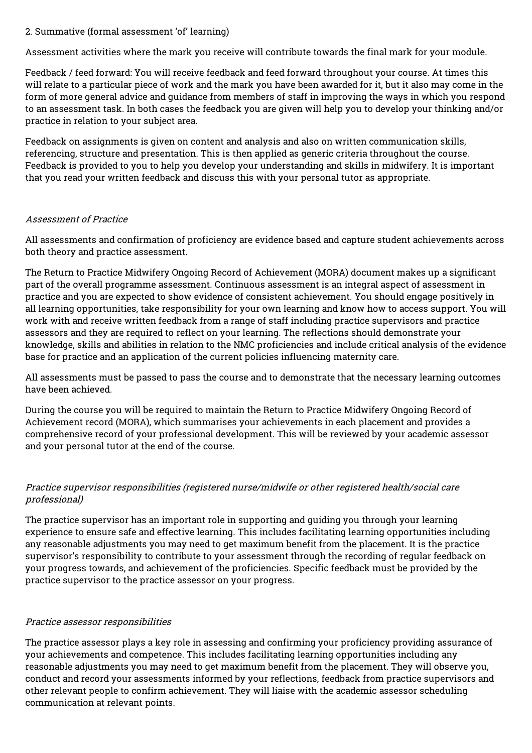#### 2. Summative (formal assessment 'of' learning)

Assessment activities where the mark you receive will contribute towards the final mark for your module.

Feedback / feed forward: You will receive feedback and feed forward throughout your course. At times this will relate to a particular piece of work and the mark you have been awarded for it, but it also may come in the form of more general advice and guidance from members of staff in improving the ways in which you respond to an assessment task. In both cases the feedback you are given will help you to develop your thinking and/or practice in relation to your subject area.

Feedback on assignments is given on content and analysis and also on written communication skills, referencing, structure and presentation. This is then applied as generic criteria throughout the course. Feedback is provided to you to help you develop your understanding and skills in midwifery. It is important that you read your written feedback and discuss this with your personal tutor as appropriate.

### Assessment of Practice

All assessments and confirmation of proficiency are evidence based and capture student achievements across both theory and practice assessment.

The Return to Practice Midwifery Ongoing Record of Achievement (MORA) document makes up a significant part of the overall programme assessment. Continuous assessment is an integral aspect of assessment in practice and you are expected to show evidence of consistent achievement. You should engage positively in all learning opportunities, take responsibility for your own learning and know how to access support. You will work with and receive written feedback from a range of staff including practice supervisors and practice assessors and they are required to reflect on your learning. The reflections should demonstrate your knowledge, skills and abilities in relation to the NMC proficiencies and include critical analysis of the evidence base for practice and an application of the current policies influencing maternity care.

All assessments must be passed to pass the course and to demonstrate that the necessary learning outcomes have been achieved.

During the course you will be required to maintain the Return to Practice Midwifery Ongoing Record of Achievement record (MORA), which summarises your achievements in each placement and provides a comprehensive record of your professional development. This will be reviewed by your academic assessor and your personal tutor at the end of the course.

## Practice supervisor responsibilities (registered nurse/midwife or other registered health/social care professional)

The practice supervisor has an important role in supporting and guiding you through your learning experience to ensure safe and effective learning. This includes facilitating learning opportunities including any reasonable adjustments you may need to get maximum benefit from the placement. It is the practice supervisor's responsibility to contribute to your assessment through the recording of regular feedback on your progress towards, and achievement of the proficiencies. Specific feedback must be provided by the practice supervisor to the practice assessor on your progress.

## Practice assessor responsibilities

The practice assessor plays a key role in assessing and confirming your proficiency providing assurance of your achievements and competence. This includes facilitating learning opportunities including any reasonable adjustments you may need to get maximum benefit from the placement. They will observe you, conduct and record your assessments informed by your reflections, feedback from practice supervisors and other relevant people to confirm achievement. They will liaise with the academic assessor scheduling communication at relevant points.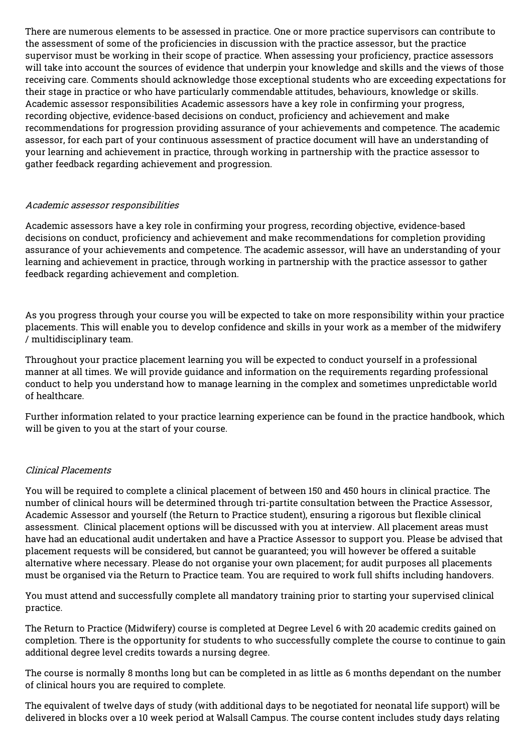There are numerous elements to be assessed in practice. One or more practice supervisors can contribute to the assessment of some of the proficiencies in discussion with the practice assessor, but the practice supervisor must be working in their scope of practice. When assessing your proficiency, practice assessors will take into account the sources of evidence that underpin your knowledge and skills and the views of those receiving care. Comments should acknowledge those exceptional students who are exceeding expectations for their stage in practice or who have particularly commendable attitudes, behaviours, knowledge or skills. Academic assessor responsibilities Academic assessors have a key role in confirming your progress, recording objective, evidence-based decisions on conduct, proficiency and achievement and make recommendations for progression providing assurance of your achievements and competence. The academic assessor, for each part of your continuous assessment of practice document will have an understanding of your learning and achievement in practice, through working in partnership with the practice assessor to gather feedback regarding achievement and progression.

#### Academic assessor responsibilities

Academic assessors have a key role in confirming your progress, recording objective, evidence-based decisions on conduct, proficiency and achievement and make recommendations for completion providing assurance of your achievements and competence. The academic assessor, will have an understanding of your learning and achievement in practice, through working in partnership with the practice assessor to gather feedback regarding achievement and completion.

As you progress through your course you will be expected to take on more responsibility within your practice placements. This will enable you to develop confidence and skills in your work as a member of the midwifery / multidisciplinary team.

Throughout your practice placement learning you will be expected to conduct yourself in a professional manner at all times. We will provide guidance and information on the requirements regarding professional conduct to help you understand how to manage learning in the complex and sometimes unpredictable world of healthcare.

Further information related to your practice learning experience can be found in the practice handbook, which will be given to you at the start of your course.

#### Clinical Placements

You will be required to complete a clinical placement of between 150 and 450 hours in clinical practice. The number of clinical hours will be determined through tri-partite consultation between the Practice Assessor, Academic Assessor and yourself (the Return to Practice student), ensuring a rigorous but flexible clinical assessment. Clinical placement options will be discussed with you at interview. All placement areas must have had an educational audit undertaken and have a Practice Assessor to support you. Please be advised that placement requests will be considered, but cannot be guaranteed; you will however be offered a suitable alternative where necessary. Please do not organise your own placement; for audit purposes all placements must be organised via the Return to Practice team. You are required to work full shifts including handovers.

You must attend and successfully complete all mandatory training prior to starting your supervised clinical practice.

The Return to Practice (Midwifery) course is completed at Degree Level 6 with 20 academic credits gained on completion. There is the opportunity for students to who successfully complete the course to continue to gain additional degree level credits towards a nursing degree.

The course is normally 8 months long but can be completed in as little as 6 months dependant on the number of clinical hours you are required to complete.

The equivalent of twelve days of study (with additional days to be negotiated for neonatal life support) will be delivered in blocks over a 10 week period at Walsall Campus. The course content includes study days relating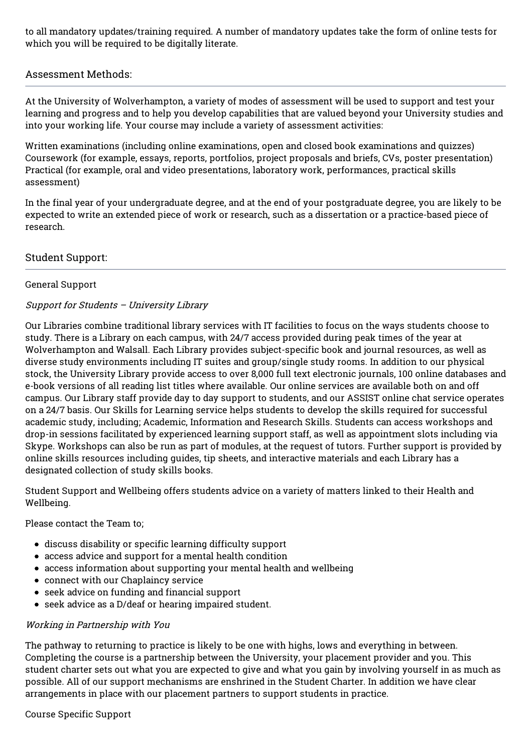to all mandatory updates/training required. A number of mandatory updates take the form of online tests for which you will be required to be digitally literate.

### Assessment Methods:

At the University of Wolverhampton, a variety of modes of assessment will be used to support and test your learning and progress and to help you develop capabilities that are valued beyond your University studies and into your working life. Your course may include a variety of assessment activities:

Written examinations (including online examinations, open and closed book examinations and quizzes) Coursework (for example, essays, reports, portfolios, project proposals and briefs, CVs, poster presentation) Practical (for example, oral and video presentations, laboratory work, performances, practical skills assessment)

In the final year of your undergraduate degree, and at the end of your postgraduate degree, you are likely to be expected to write an extended piece of work or research, such as a dissertation or a practice-based piece of research.

### Student Support:

#### General Support

### Support for Students – University Library

Our Libraries combine traditional library services with IT facilities to focus on the ways students choose to study. There is a Library on each campus, with 24/7 access provided during peak times of the year at Wolverhampton and Walsall. Each Library provides subject-specific book and journal resources, as well as diverse study environments including IT suites and group/single study rooms. In addition to our physical stock, the University Library provide access to over 8,000 full text electronic journals, 100 online databases and e-book versions of all reading list titles where available. Our online services are available both on and off campus. Our Library staff provide day to day support to students, and our ASSIST online chat service operates on a 24/7 basis. Our Skills for Learning service helps students to develop the skills required for successful academic study, including; Academic, Information and Research Skills. Students can access workshops and drop-in sessions facilitated by experienced learning support staff, as well as appointment slots including via Skype. Workshops can also be run as part of modules, at the request of tutors. Further support is provided by online skills resources including guides, tip sheets, and interactive materials and each Library has a designated collection of study skills books.

Student Support and Wellbeing offers students advice on a variety of matters linked to their Health and Wellbeing.

Please contact the Team to;

- discuss disability or specific learning difficulty support
- access advice and support for a mental health condition
- access information about supporting your mental health and wellbeing
- connect with our Chaplaincy service
- seek advice on funding and financial support
- seek advice as a D/deaf or hearing impaired student.

#### Working in Partnership with You

The pathway to returning to practice is likely to be one with highs, lows and everything in between. Completing the course is a partnership between the University, your placement provider and you. This student charter sets out what you are expected to give and what you gain by involving yourself in as much as possible. All of our support mechanisms are enshrined in the Student Charter. In addition we have clear arrangements in place with our placement partners to support students in practice.

#### Course Specific Support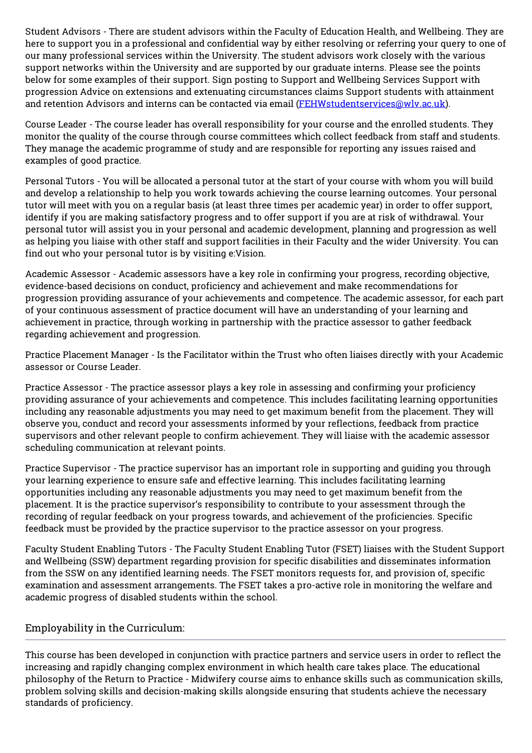Student Advisors - There are student advisors within the Faculty of Education Health, and Wellbeing. They are here to support you in a professional and confidential way by either resolving or referring your query to one of our many professional services within the University. The student advisors work closely with the various support networks within the University and are supported by our graduate interns. Please see the points below for some examples of their support. Sign posting to Support and Wellbeing Services Support with progression Advice on extensions and extenuating circumstances claims Support students with attainment and retention Advisors and interns can be contacted via email [\(FEHWstudentservices@wlv.ac.uk](mailto:FEHWstudentservices@wlv.ac.uk)).

Course Leader - The course leader has overall responsibility for your course and the enrolled students. They monitor the quality of the course through course committees which collect feedback from staff and students. They manage the academic programme of study and are responsible for reporting any issues raised and examples of good practice.

Personal Tutors - You will be allocated a personal tutor at the start of your course with whom you will build and develop a relationship to help you work towards achieving the course learning outcomes. Your personal tutor will meet with you on a regular basis (at least three times per academic year) in order to offer support, identify if you are making satisfactory progress and to offer support if you are at risk of withdrawal. Your personal tutor will assist you in your personal and academic development, planning and progression as well as helping you liaise with other staff and support facilities in their Faculty and the wider University. You can find out who your personal tutor is by visiting e:Vision.

Academic Assessor - Academic assessors have a key role in confirming your progress, recording objective, evidence-based decisions on conduct, proficiency and achievement and make recommendations for progression providing assurance of your achievements and competence. The academic assessor, for each part of your continuous assessment of practice document will have an understanding of your learning and achievement in practice, through working in partnership with the practice assessor to gather feedback regarding achievement and progression.

Practice Placement Manager - Is the Facilitator within the Trust who often liaises directly with your Academic assessor or Course Leader.

Practice Assessor - The practice assessor plays a key role in assessing and confirming your proficiency providing assurance of your achievements and competence. This includes facilitating learning opportunities including any reasonable adjustments you may need to get maximum benefit from the placement. They will observe you, conduct and record your assessments informed by your reflections, feedback from practice supervisors and other relevant people to confirm achievement. They will liaise with the academic assessor scheduling communication at relevant points.

Practice Supervisor - The practice supervisor has an important role in supporting and guiding you through your learning experience to ensure safe and effective learning. This includes facilitating learning opportunities including any reasonable adjustments you may need to get maximum benefit from the placement. It is the practice supervisor's responsibility to contribute to your assessment through the recording of regular feedback on your progress towards, and achievement of the proficiencies. Specific feedback must be provided by the practice supervisor to the practice assessor on your progress.

Faculty Student Enabling Tutors - The Faculty Student Enabling Tutor (FSET) liaises with the Student Support and Wellbeing (SSW) department regarding provision for specific disabilities and disseminates information from the SSW on any identified learning needs. The FSET monitors requests for, and provision of, specific examination and assessment arrangements. The FSET takes a pro-active role in monitoring the welfare and academic progress of disabled students within the school.

## Employability in the Curriculum:

This course has been developed in conjunction with practice partners and service users in order to reflect the increasing and rapidly changing complex environment in which health care takes place. The educational philosophy of the Return to Practice - Midwifery course aims to enhance skills such as communication skills, problem solving skills and decision-making skills alongside ensuring that students achieve the necessary standards of proficiency.